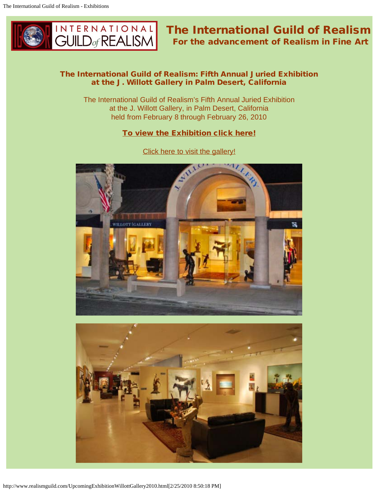

# The International Guild of Realism For the advancement of Realism in Fine Art

## The International Guild of Realism: Fifth Annual Juried Exhibition at the J. Willott Gallery in Palm Desert, California

The International Guild of Realism's Fifth Annual Juried Exhibition at the J. Willott Gallery, in Palm Desert, California held from February 8 through February 26, 2010

### [To view the Exhibition click here!](http://www.jwillott.com/artists.html)



[Click here to visit the gallery!](http://www.jwillott.com/)

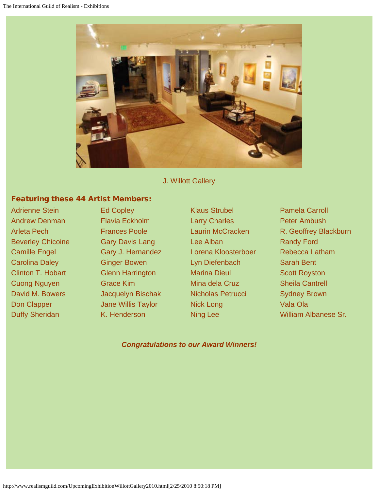

J. Willott Gallery

# Featuring these 44 Artist Members:

Adrienne Stein **Ed Copley Active Strubel Adrienne Stein** Pamela Carroll Andrew Denman **Flavia Eckholm** Larry Charles **Peter Ambush** Beverley Chicoine **Gary Davis Lang Lee Alban** Randy Ford Camille Engel Gary J. Hernandez Lorena Kloosterboer Rebecca Latham Carolina Daley Ginger Bowen Lyn Diefenbach Sarah Bent Clinton T. Hobart Glenn Harrington Marina Dieul Scott Royston Cuong Nguyen Grace Kim Mina dela Cruz Sheila Cantrell David M. Bowers **Jacquelyn Bischak** Nicholas Petrucci Sydney Brown Don Clapper **Jane Willis Taylor** Nick Long **Vala Ola** 

Arleta Pech **Frances Poole** Laurin McCracken R. Geoffrey Blackburn Duffy Sheridan K. Henderson Ning Lee William Albanese Sr.

*Congratulations to our Award Winners!*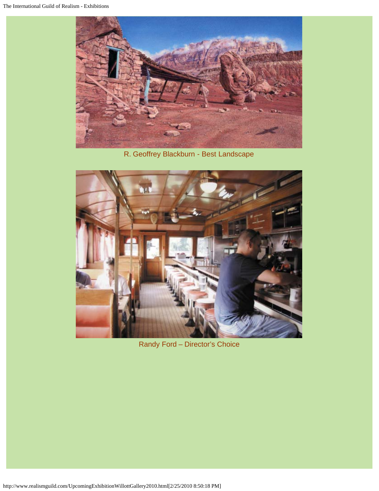

R. Geoffrey Blackburn - Best Landscape



Randy Ford – Director's Choice